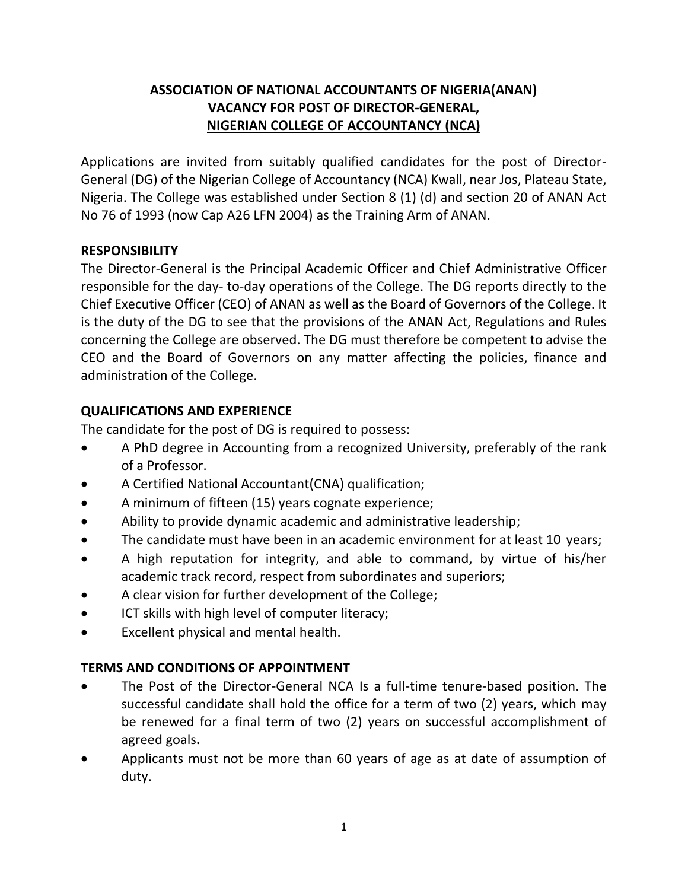# **ASSOCIATION OF NATIONAL ACCOUNTANTS OF NIGERIA(ANAN) VACANCY FOR POST OF DIRECTOR-GENERAL, NIGERIAN COLLEGE OF ACCOUNTANCY (NCA)**

Applications are invited from suitably qualified candidates for the post of Director-General (DG) of the Nigerian College of Accountancy (NCA) Kwall, near Jos, Plateau State, Nigeria. The College was established under Section 8 (1) (d) and section 20 of ANAN Act No 76 of 1993 (now Cap A26 LFN 2004) as the Training Arm of ANAN.

#### **RESPONSIBILITY**

The Director-General is the Principal Academic Officer and Chief Administrative Officer responsible for the day- to-day operations of the College. The DG reports directly to the Chief Executive Officer (CEO) of ANAN as well as the Board of Governors of the College. It is the duty of the DG to see that the provisions of the ANAN Act, Regulations and Rules concerning the College are observed. The DG must therefore be competent to advise the CEO and the Board of Governors on any matter affecting the policies, finance and administration of the College.

#### **QUALIFICATIONS AND EXPERIENCE**

The candidate for the post of DG is required to possess:

- A PhD degree in Accounting from a recognized University, preferably of the rank of a Professor.
- A Certified National Accountant(CNA) qualification;
- A minimum of fifteen (15) years cognate experience;
- Ability to provide dynamic academic and administrative leadership;
- The candidate must have been in an academic environment for at least 10 years;
- A high reputation for integrity, and able to command, by virtue of his/her academic track record, respect from subordinates and superiors;
- A clear vision for further development of the College;
- ICT skills with high level of computer literacy;
- Excellent physical and mental health.

#### **TERMS AND CONDITIONS OF APPOINTMENT**

- The Post of the Director-General NCA Is a full-time tenure-based position. The successful candidate shall hold the office for a term of two (2) years, which may be renewed for a final term of two (2) years on successful accomplishment of agreed goals**.**
- Applicants must not be more than 60 years of age as at date of assumption of duty.